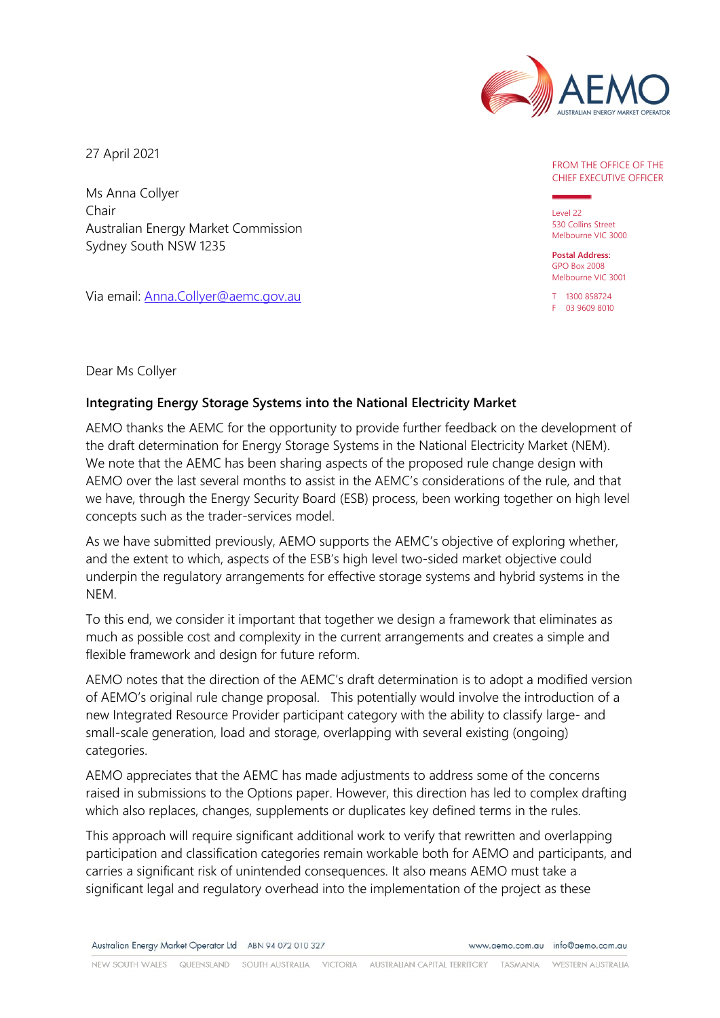

27 April 2021

Ms Anna Collyer Chair Australian Energy Market Commission Sydney South NSW 1235

Via email: [Anna.Collyer@aemc.gov.au](mailto:Anna.Collyer@aemc.gov.au)

## CHIEF EXECUTIVE OFFICER FROM THE OFFICE OF THE

Level 22 530 Collins Street Melbourne VIC 3000

**Postal Address:** GPO Box 2008 Melbourne VIC 3001

T 1300 858724 F 03 9609 8010

## Dear Ms Collyer

## **Integrating Energy Storage Systems into the National Electricity Market**

AEMO thanks the AEMC for the opportunity to provide further feedback on the development of the draft determination for Energy Storage Systems in the National Electricity Market (NEM). We note that the AEMC has been sharing aspects of the proposed rule change design with AEMO over the last several months to assist in the AEMC's considerations of the rule, and that we have, through the Energy Security Board (ESB) process, been working together on high level concepts such as the trader-services model.

As we have submitted previously, AEMO supports the AEMC's objective of exploring whether, and the extent to which, aspects of the ESB's high level two-sided market objective could underpin the regulatory arrangements for effective storage systems and hybrid systems in the NEM.

To this end, we consider it important that together we design a framework that eliminates as much as possible cost and complexity in the current arrangements and creates a simple and flexible framework and design for future reform.

AEMO notes that the direction of the AEMC's draft determination is to adopt a modified version of AEMO's original rule change proposal. This potentially would involve the introduction of a new Integrated Resource Provider participant category with the ability to classify large- and small-scale generation, load and storage, overlapping with several existing (ongoing) categories.

AEMO appreciates that the AEMC has made adjustments to address some of the concerns raised in submissions to the Options paper. However, this direction has led to complex drafting which also replaces, changes, supplements or duplicates key defined terms in the rules.

This approach will require significant additional work to verify that rewritten and overlapping participation and classification categories remain workable both for AEMO and participants, and carries a significant risk of unintended consequences. It also means AEMO must take a significant legal and regulatory overhead into the implementation of the project as these

Australian Energy Market Operator Ltd ABN 94 072 010 327

www.gemo.com.gu info@gemo.com.gu